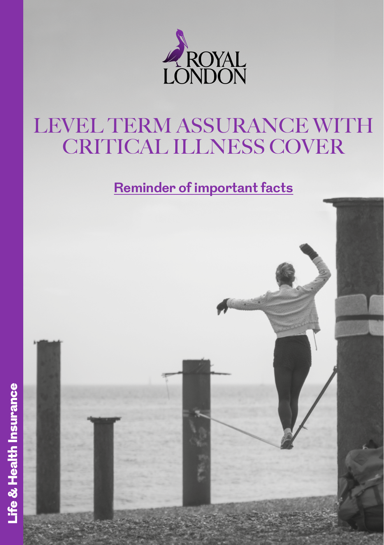

# LEVEL TERM ASSURANCE WITH CRITICAL ILLNESS COVER

## **Reminder of important facts**

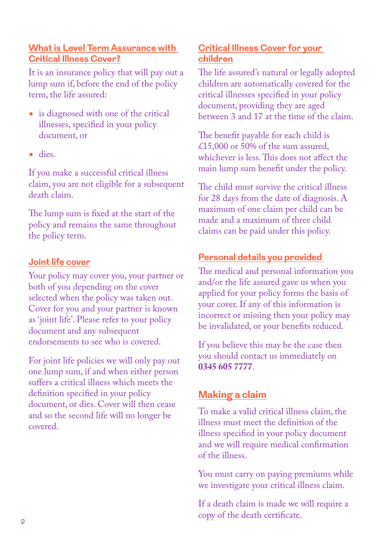#### **What is Level Term Assurance with Critical Illness Cover?**

It is an insurance policy that will pay out a lump sum if, before the end of the policy term, the life assured:

- is diagnosed with one of the critical illnesses, specified in your policy document, or
- dies.

If you make a successful critical illness claim, you are not eligible for a subsequent death claim.

The lump sum is fixed at the start of the policy and remains the same throughout the policy term.

#### **Joint life cover**

Your policy may cover you, your partner or both of you depending on the cover selected when the policy was taken out. Cover for you and your partner is known as 'joint life'. Please refer to your policy document and any subsequent endorsements to see who is covered.

For joint life policies we will only pay out one lump sum, if and when either person suffers a critical illness which meets the definition specified in your policy document, or dies. Cover will then cease and so the second life will no longer be covered.

#### **Critical Illness Cover for your children**

The life assured's natural or legally adopted children are automatically covered for the critical illnesses specified in your policy document, providing they are aged between 3 and 17 at the time of the claim.

The benefit payable for each child is £15,000 or 50% of the sum assured. whichever is less. This does not affect the main lump sum benefit under the policy.

The child must survive the critical illness for 28 days from the date of diagnosis. A maximum of one claim per child can be made and a maximum of three child claims can be paid under this policy.

#### **Personal details you provided**

The medical and personal information you and/or the life assured gave us when you applied for your policy forms the basis of your cover. If any of this information is incorrect or missing then your policy may be invalidated, or your benefits reduced.

If you believe this may be the case then you should contact us immediately on **0345 605 7777**.

### **Making a claim**

To make a valid critical illness claim, the illness must meet the definition of the illness specified in your policy document and we will require medical confirmation of the illness.

You must carry on paying premiums while we investigate your critical illness claim.

If a death claim is made we will require a copy of the death certificate.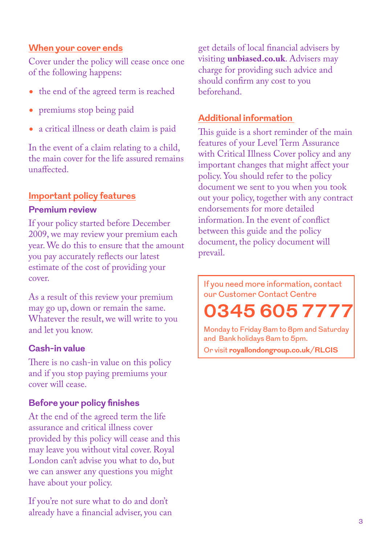#### **When your cover ends**

Cover under the policy will cease once one of the following happens:

- the end of the agreed term is reached
- premiums stop being paid
- a critical illness or death claim is paid

In the event of a claim relating to a child, the main cover for the life assured remains unaffected.

#### **Important policy features**

#### **Premium review**

If your policy started before December 2009, we may review your premium each year. We do this to ensure that the amount you pay accurately reflects our latest estimate of the cost of providing your cover.

As a result of this review your premium may go up, down or remain the same. Whatever the result, we will write to you and let you know.

#### **Cash-in value**

There is no cash-in value on this policy and if you stop paying premiums your cover will cease.

#### **Before your policy finishes**

At the end of the agreed term the life assurance and critical illness cover provided by this policy will cease and this may leave you without vital cover. Royal London can't advise you what to do, but we can answer any questions you might have about your policy.

If you're not sure what to do and don't already have a financial adviser, you can get details of local financial advisers by visiting **[unbiased.co.uk](http://unbiased.co.uk)**. Advisers may charge for providing such advice and should confirm any cost to you beforehand.

#### **Additional information**

This guide is a short reminder of the main features of your Level Term Assurance with Critical Illness Cover policy and any important changes that might affect your policy. You should refer to the policy document we sent to you when you took out your policy, together with any contract endorsements for more detailed information. In the event of conflict between this guide and the policy document, the policy document will prevail.

If you need more information, contact our Customer Contact Centre

**0345 605 7777**

Monday to Friday 8am to 8pm and Saturday and Bank holidays 8am to 5pm.

Or visit **royallondongroup.co.uk/RLCIS**